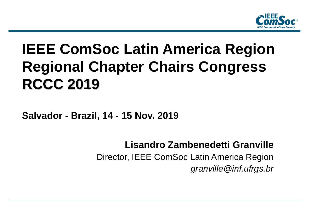

# **IEEE ComSoc Latin America Region Regional Chapter Chairs Congress RCCC 2019**

**Salvador - Brazil, 14 - 15 Nov. 2019**

**Lisandro Zambenedetti Granville** Director, IEEE ComSoc Latin America Region *granville@inf.ufrgs.br*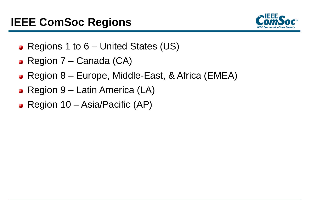## **IEEE ComSoc Regions**



- Regions 1 to 6 United States (US)
- Region 7 Canada (CA)
- Region 8 Europe, Middle-East, & Africa (EMEA)
- Region 9 Latin America (LA)
- Region 10 Asia/Pacific (AP)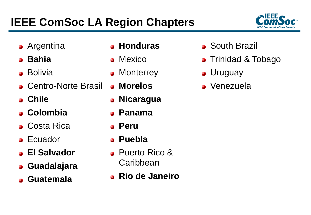# **IEEE ComSoc LA Region Chapters**



- **•** Argentina
- **Bahia**  $\mathbf{R}^{\mathbf{a}}$
- **•** Bolivia
- **C**entro-Norte Brasil
- **Chile**
- **Colombia**
- **Costa Rica**
- **•** Ecuador
- **El Salvador**
- **Guadalajara**
- **Guatemala**
- **Honduras**
- **•** Mexico
- **Monterrey**  $\mathcal{R}_{\mathcal{A}}$
- **Morelos**
- **Nicaragua**  $\mathcal{L}_{\mathcal{A}}$
- **Panama**
- **Peru**
- **Puebla**  $\mathbf{R}^{\mathbf{a}}$
- **Puerto Rico & Caribbean**
- **Rio de Janeiro**
- **South Brazil**
- Trinidad & Tobago  $\bullet$
- **J**ruguay
- Venezuela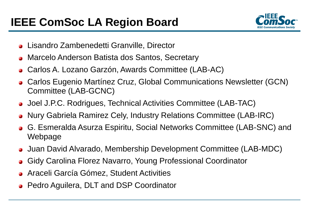

- Lisandro Zambenedetti Granville, Director  $\mathbf{a}$
- Marcelo Anderson Batista dos Santos, Secretary Ø
- Carlos A. Lozano Garzón, Awards Committee (LAB-AC)  $\overline{\mathbf{a}}$
- Carlos Eugenio Martínez Cruz, Global Communications Newsletter (GCN)  $\bullet$ Committee (LAB-GCNC)
- Joel J.P.C. Rodrigues, Technical Activities Committee (LAB-TAC)
- Nury Gabriela Ramirez Cely, Industry Relations Committee (LAB-IRC)  $\overline{\mathbf{a}}$
- G. Esmeralda Asurza Espiritu, Social Networks Committee (LAB-SNC) and **S** Webpage
- Juan David Alvarado, Membership Development Committee (LAB-MDC)
- Gidy Carolina Florez Navarro, Young Professional Coordinator **C**
- Araceli García Gómez, Student Activities  $\mathbf{G}$
- **Pedro Aguilera, DLT and DSP Coordinator**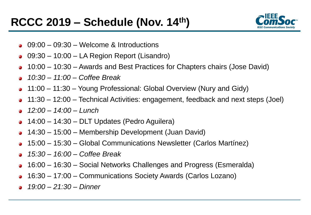

- 09:00 09:30 Welcome & Introductions G
- 09:30 10:00 LA Region Report (Lisandro) ۰
- 10:00 10:30 Awards and Best Practices for Chapters chairs (Jose David) ø
- *10:30 – 11:00 – Coffee Break* Ø.
- 11:00 11:30 Young Professional: Global Overview (Nury and Gidy) G
- 11:30 12:00 Technical Activities: engagement, feedback and next steps (Joel) ۵
- *12:00 – 14:00 – Lunch* ß.
- 14:00 14:30 DLT Updates (Pedro Aguilera) ۵
- 14:30 15:00 Membership Development (Juan David) ۵
- 15:00 15:30 Global Communications Newsletter (Carlos Martínez) ø
- *15:30 – 16:00 – Coffee Break* ø
- 16:00 16:30 Social Networks Challenges and Progress (Esmeralda) Ø.
- 16:30 17:00 Communications Society Awards (Carlos Lozano) Ø.
- *19:00 – 21:30 – Dinner*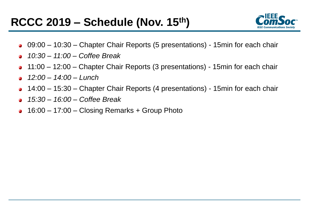

- 09:00 10:30 Chapter Chair Reports (5 presentations) 15min for each chair  $\mathbf{R}$
- *10:30 – 11:00 – Coffee Break* Ø
- 11:00 12:00 Chapter Chair Reports (3 presentations) 15min for each chair ۵
- *12:00 – 14:00 – Lunch*  Ø.
- 14:00 15:30 Chapter Chair Reports (4 presentations) 15min for each chair ۵
- *15:30 – 16:00 – Coffee Break* ø
- 16:00 17:00 Closing Remarks + Group Photo $\mathbf{r}$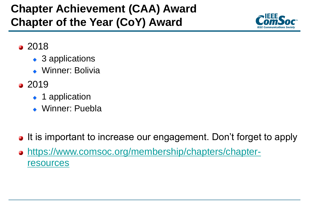## **Chapter Achievement (CAA) Award Chapter of the Year (CoY) Award**



- 2018
	- ◆ 3 applications
	- Winner: Bolivia
- $2019$ 
	- ◆ 1 application
	- Winner: Puebla
- It is important to increase our engagement. Don't forget to apply
- o [https://www.comsoc.org/membership/chapters/chapter](https://www.comsoc.org/membership/chapters/chapter-resources)resources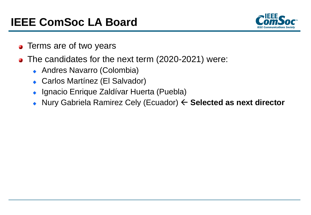### **IEEE ComSoc LA Board**



- **•** Terms are of two years
- The candidates for the next term (2020-2021) were:
	- Andres Navarro (Colombia)
	- Carlos Martínez (El Salvador)
	- ◆ Ignacio Enrique Zaldívar Huerta (Puebla)
	- ◆ Nury Gabriela Ramirez Cely (Ecuador) **← Selected as next director**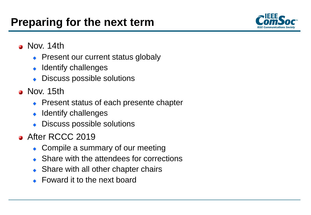

- Nov. 14th
	- Present our current status globaly
	- $\bullet$  Identify challenges
	- Discuss possible solutions
- **Nov. 15th** 
	- Present status of each presente chapter
	- $\bullet$  Identify challenges
	- Discuss possible solutions
- **After RCCC 2019** 
	- Compile a summary of our meeting
	- Share with the attendees for corrections
	- Share with all other chapter chairs
	- Foward it to the next board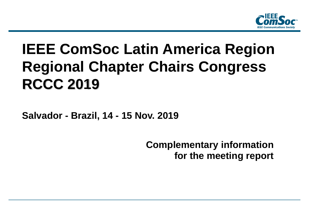

# **IEEE ComSoc Latin America Region Regional Chapter Chairs Congress RCCC 2019**

**Salvador - Brazil, 14 - 15 Nov. 2019**

**Complementary information for the meeting report**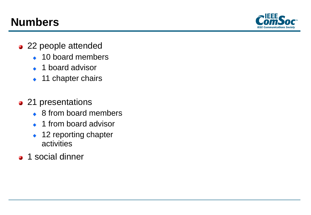### **Numbers**



- 22 people attended
	- ◆ 10 board members
	- ◆ 1 board advisor
	- ◆ 11 chapter chairs
- 21 presentations
	- ◆ 8 from board members
	- ◆ 1 from board advisor
	- ◆ 12 reporting chapter activities
- **1** social dinner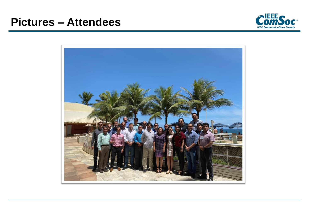

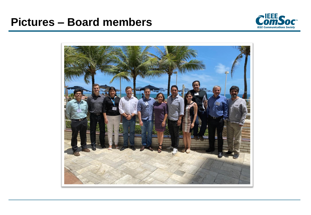### **Pictures – Board members**



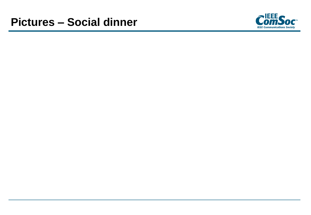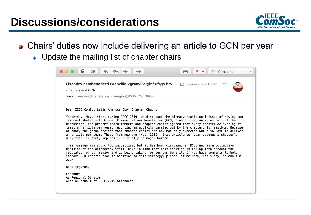### **Discussions/considerations**



- Chairs' duties now include delivering an article to GCN per year
	- Update the mailing list of chapter chairs

| न्नि<br>而                                                                                                                                                                                                                                                                                                                                                                                                                                                                                                                                                                                                                                                                       | [b] Conselho-I<br>$\checkmark$ |
|---------------------------------------------------------------------------------------------------------------------------------------------------------------------------------------------------------------------------------------------------------------------------------------------------------------------------------------------------------------------------------------------------------------------------------------------------------------------------------------------------------------------------------------------------------------------------------------------------------------------------------------------------------------------------------|--------------------------------|
| Lisandro Zambenedetti Granville <granville@inf.ufrgs.br><br/><b>Chapters and GCN</b><br/>Para: laregion@comsoc.org <laregion@comsoc.org></laregion@comsoc.org></granville@inf.ufrgs.br>                                                                                                                                                                                                                                                                                                                                                                                                                                                                                         | □ Enviadas - INF-UFRGS 11:10   |
| Dear IEEE ComSoc Latin America (LA) Chapter Chairs                                                                                                                                                                                                                                                                                                                                                                                                                                                                                                                                                                                                                              |                                |
| Yesterday (Nov. 14th), during RCCC 2019, we discussed the already traditional issue of having too<br>few contributions to Global Communications Newsletter (GCN) from our Region 9. As part of the<br>discussion, the present board members and chapter chairs agreed that every chapter delivering at<br>least an article per year, reporting an activity carried out by the chapter, is feasible. Because<br>of that, the group decided that chapter chairs are now not only expected but also HAVE to deliver<br>an article per year. Thus, from now own (Nov. 2019), that article per year becomes a chapter's<br>duty that, in fact, implies in virtually no major burden. |                                |
| This message may sound too impositive, but it has been discussed in RCCC and is a collective<br>decision of the attendees. Still, have in mind that this decision is taking into account the<br>reputation of our region and is being taking for our own benefit. If you have comments to help<br>improve GCN contribution in addition to this strategy, please let me know, let's say, in about a<br>week.                                                                                                                                                                                                                                                                     |                                |
| Best regards,                                                                                                                                                                                                                                                                                                                                                                                                                                                                                                                                                                                                                                                                   |                                |
| Lisandro<br>As Regional Diretor<br>Also on behalf of RCCC 2019 attendees                                                                                                                                                                                                                                                                                                                                                                                                                                                                                                                                                                                                        |                                |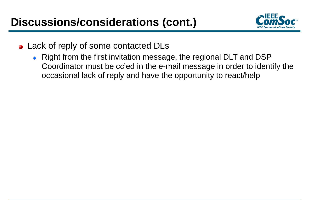

- Lack of reply of some contacted DLs
	- Right from the first invitation message, the regional DLT and DSP Coordinator must be cc'ed in the e-mail message in order to identify the occasional lack of reply and have the opportunity to react/help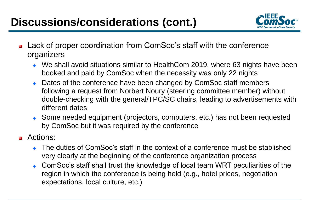## **Discussions/considerations (cont.)**



- Lack of proper coordination from ComSoc's staff with the conference organizers
	- We shall avoid situations similar to HealthCom 2019, where 63 nights have been booked and paid by ComSoc when the necessity was only 22 nights
	- ◆ Dates of the conference have been changed by ComSoc staff members following a request from Norbert Noury (steering committee member) without double-checking with the general/TPC/SC chairs, leading to advertisements with different dates
	- Some needed equipment (projectors, computers, etc.) has not been requested by ComSoc but it was required by the conference
- **a** Actions:
	- The duties of ComSoc's staff in the context of a conference must be stablished very clearly at the beginning of the conference organization process
	- ComSoc's staff shall trust the knowledge of local team WRT peculiarities of the region in which the conference is being held (e.g., hotel prices, negotiation expectations, local culture, etc.)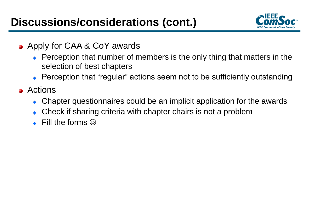

- **Apply for CAA & CoY awards** 
	- Perception that number of members is the only thing that matters in the selection of best chapters
	- Perception that "regular" actions seem not to be sufficiently outstanding
- **a** Actions
	- Chapter questionnaires could be an implicit application for the awards
	- Check if sharing criteria with chapter chairs is not a problem
	- $\bullet$  Fill the forms  $\odot$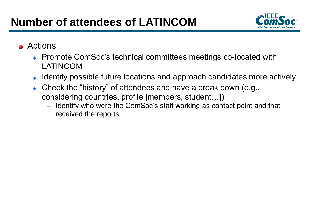

#### **a** Actions

- ◆ Promote ComSoc's technical committees meetings co-located with LATINCOM
- Identify possible future locations and approach candidates more actively
- Check the "history" of attendees and have a break down (e.g., considering countries, profile [members, student…])
	- Identify who were the ComSoc's staff working as contact point and that received the reports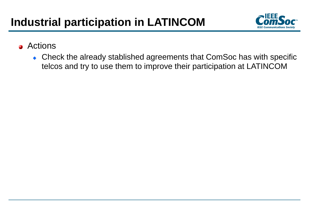

- **a** Actions
	- Check the already stablished agreements that ComSoc has with specific telcos and try to use them to improve their participation at LATINCOM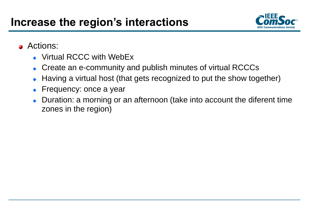

#### **a** Actions:

- Virtual RCCC with WebEx
- Create an e-community and publish minutes of virtual RCCCs
- Having a virtual host (that gets recognized to put the show together)
- Frequency: once a year
- Duration: a morning or an afternoon (take into account the diferent time zones in the region)